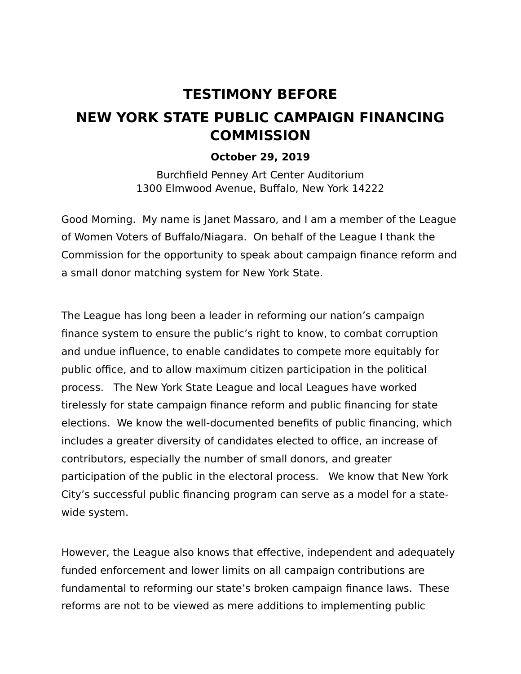## **TESTIMONY BEFORE NEW YORK STATE PUBLIC CAMPAIGN FINANCING COMMISSION**

## **October 29, 2019**

Burchfield Penney Art Center Auditorium 1300 Elmwood Avenue, Buffalo, New York 14222

Good Morning. My name is Janet Massaro, and I am a member of the League of Women Voters of Buffalo/Niagara. On behalf of the League I thank the Commission for the opportunity to speak about campaign finance reform and a small donor matching system for New York State.

The League has long been a leader in reforming our nation's campaign finance system to ensure the public's right to know, to combat corruption and undue influence, to enable candidates to compete more equitably for public office, and to allow maximum citizen participation in the political process. The New York State League and local Leagues have worked tirelessly for state campaign finance reform and public financing for state elections. We know the well-documented benefits of public financing, which includes a greater diversity of candidates elected to office, an increase of contributors, especially the number of small donors, and greater participation of the public in the electoral process. We know that New York City's successful public financing program can serve as a model for a statewide system.

However, the League also knows that effective, independent and adequately funded enforcement and lower limits on all campaign contributions are fundamental to reforming our state's broken campaign finance laws. These reforms are not to be viewed as mere additions to implementing public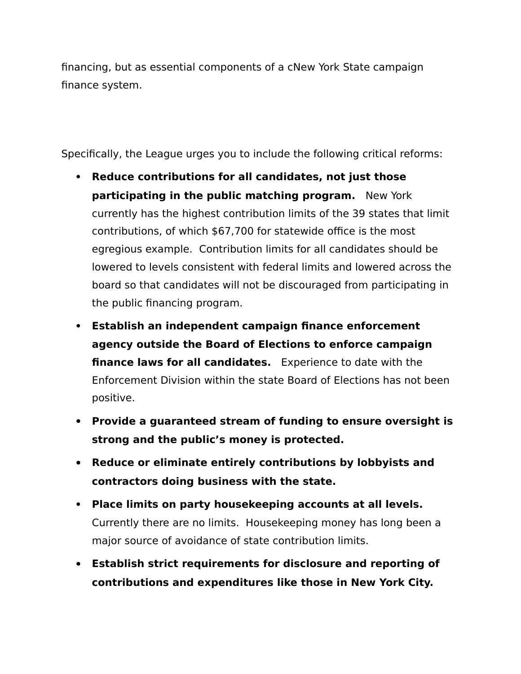financing, but as essential components of a cNew York State campaign finance system.

Specifically, the League urges you to include the following critical reforms:

- **Reduce contributions for all candidates, not just those participating in the public matching program.** New York currently has the highest contribution limits of the 39 states that limit contributions, of which \$67,700 for statewide office is the most egregious example. Contribution limits for all candidates should be lowered to levels consistent with federal limits and lowered across the board so that candidates will not be discouraged from participating in the public financing program.
- **Establish an independent campaign finance enforcement agency outside the Board of Elections to enforce campaign finance laws for all candidates.** Experience to date with the Enforcement Division within the state Board of Elections has not been positive.
- **Provide a guaranteed stream of funding to ensure oversight is strong and the public's money is protected.**
- **Reduce or eliminate entirely contributions by lobbyists and contractors doing business with the state.**
- **Place limits on party housekeeping accounts at all levels.** Currently there are no limits. Housekeeping money has long been a major source of avoidance of state contribution limits.
- **Establish strict requirements for disclosure and reporting of contributions and expenditures like those in New York City.**